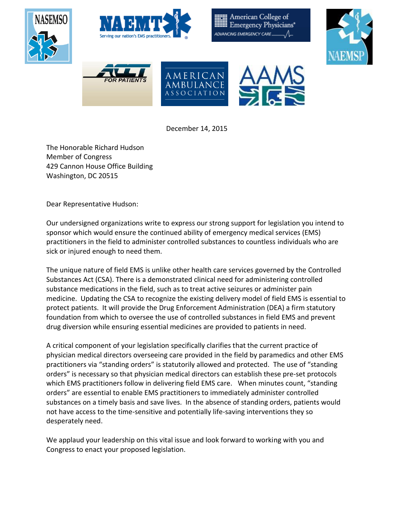

December 14, 2015

The Honorable Richard Hudson Member of Congress 429 Cannon House Office Building Washington, DC 20515

Dear Representative Hudson:

Our undersigned organizations write to express our strong support for legislation you intend to sponsor which would ensure the continued ability of emergency medical services (EMS) practitioners in the field to administer controlled substances to countless individuals who are sick or injured enough to need them.

The unique nature of field EMS is unlike other health care services governed by the Controlled Substances Act (CSA). There is a demonstrated clinical need for administering controlled substance medications in the field, such as to treat active seizures or administer pain medicine. Updating the CSA to recognize the existing delivery model of field EMS is essential to protect patients. It will provide the Drug Enforcement Administration (DEA) a firm statutory foundation from which to oversee the use of controlled substances in field EMS and prevent drug diversion while ensuring essential medicines are provided to patients in need.

A critical component of your legislation specifically clarifies that the current practice of physician medical directors overseeing care provided in the field by paramedics and other EMS practitioners via "standing orders" is statutorily allowed and protected. The use of "standing orders" is necessary so that physician medical directors can establish these pre-set protocols which EMS practitioners follow in delivering field EMS care. When minutes count, "standing orders" are essential to enable EMS practitioners to immediately administer controlled substances on a timely basis and save lives. In the absence of standing orders, patients would not have access to the time-sensitive and potentially life-saving interventions they so desperately need.

We applaud your leadership on this vital issue and look forward to working with you and Congress to enact your proposed legislation.